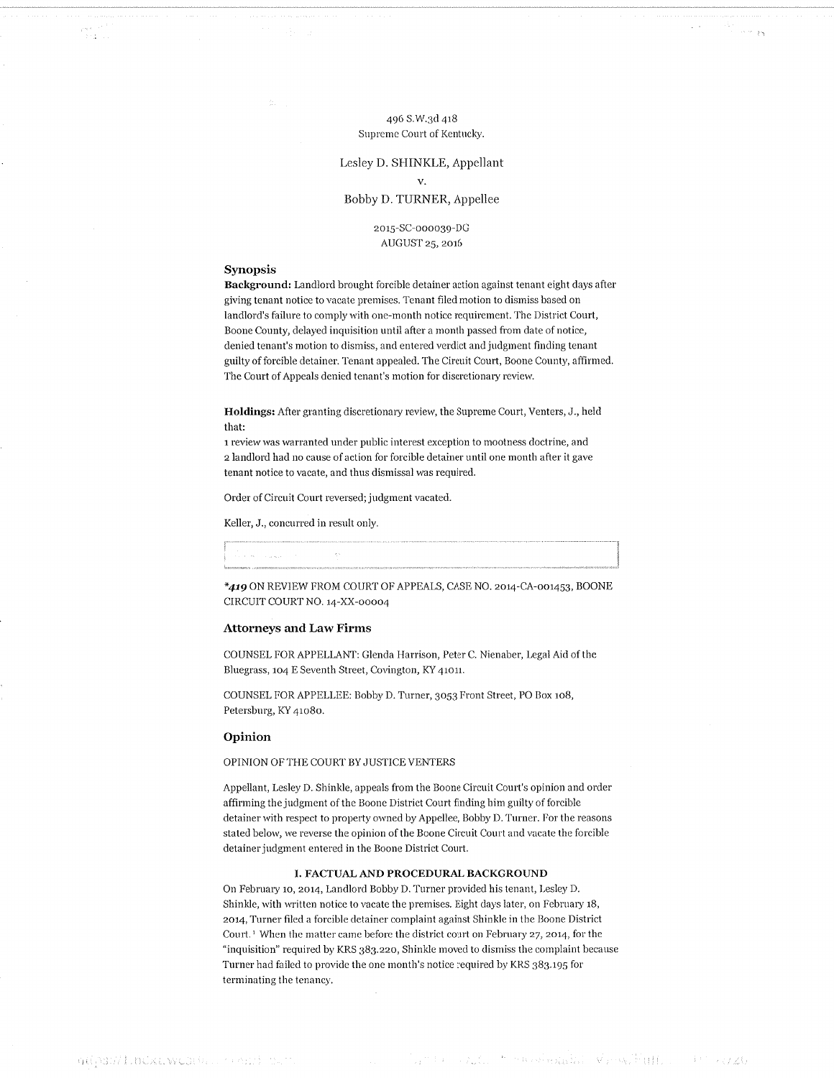496 S.W.3d 418 Supreme Court of Kentucky.

## Lesley D. SHINKLE, Appellant  $V_{\star}$

## Bobby D. TURNER, Appellee

2015-SC-000039-DG AUGUST 25, 2016

### Synopsis

 $\frac{2\pi^2}{2\pi^2}$ 

Background: Landlord brought forcible detainer action against tenant eight days after giving tenant notice to vacate premises. Tenant filed motion to dismiss based on landlord's failure to comply with one-month notice requirement. The District Court, Boone County, delayed inquisition until after a month passed from date of notice, denied tenant's motion to dismiss, and entered verdict and judgment finding tenant guilty of forcible detainer. Tenant appealed. The Circuit Court, Boone County, affirmed. The Court of Appeals denied tenant's motion for discretionary review.

Holdings: After granting discretionary review, the Supreme Court, Venters, J., held that:

1 review was warranted under public interest exception to mootness doctrine, and 2 landlord had no cause of action for forcible detainer until one month after it gave tenant notice to vacate, and thus dismissal was required.

Order of Circuit Court reversed; judgment vacated.

Keller, J., concurred in result only.

| the control of the control of the control of |  |
|----------------------------------------------|--|
|                                              |  |

\*419 ON REVIEW FROM COURT OF APPEALS, CASE NO. 2014-CA-001453, BOONE CIRCUIT COURT NO. 14-XX-00004

#### **Attorneys and Law Firms**

COUNSEL FOR APPELLANT: Glenda Harrison, Peter C. Nienaber, Legal Aid of the Bluegrass, 104 E Seventh Street, Covington, KY 41011.

COUNSEL FOR APPELLEE: Bobby D. Turner, 3053 Front Street, PO Box 108, Petersburg, KY 41080.

#### Opinion

OPINION OF THE COURT BY JUSTICE VENTERS

Appellant, Lesley D. Shinkle, appeals from the Boone Circuit Court's opinion and order affirming the judgment of the Boone District Court finding him guilty of forcible detainer with respect to property owned by Appellee, Bobby D. Turner. For the reasons stated below, we reverse the opinion of the Boone Circuit Court and vacate the forcible detainer judgment entered in the Boone District Court.

#### I. FACTUAL AND PROCEDURAL BACKGROUND

On February 10, 2014, Landlord Bobby D. Turner provided his tenant, Lesley D. Shinkle, with written notice to vacate the premises. Eight days later, on February 18, 2014, Turner filed a forcible detainer complaint against Shinkle in the Boone District Court.<sup>1</sup> When the matter came before the district court on February 27, 2014, for the "inquisition" required by KRS 383.220, Shinkle moved to dismiss the complaint because Turner had failed to provide the one month's notice required by KRS 383.195 for terminating the tenancy.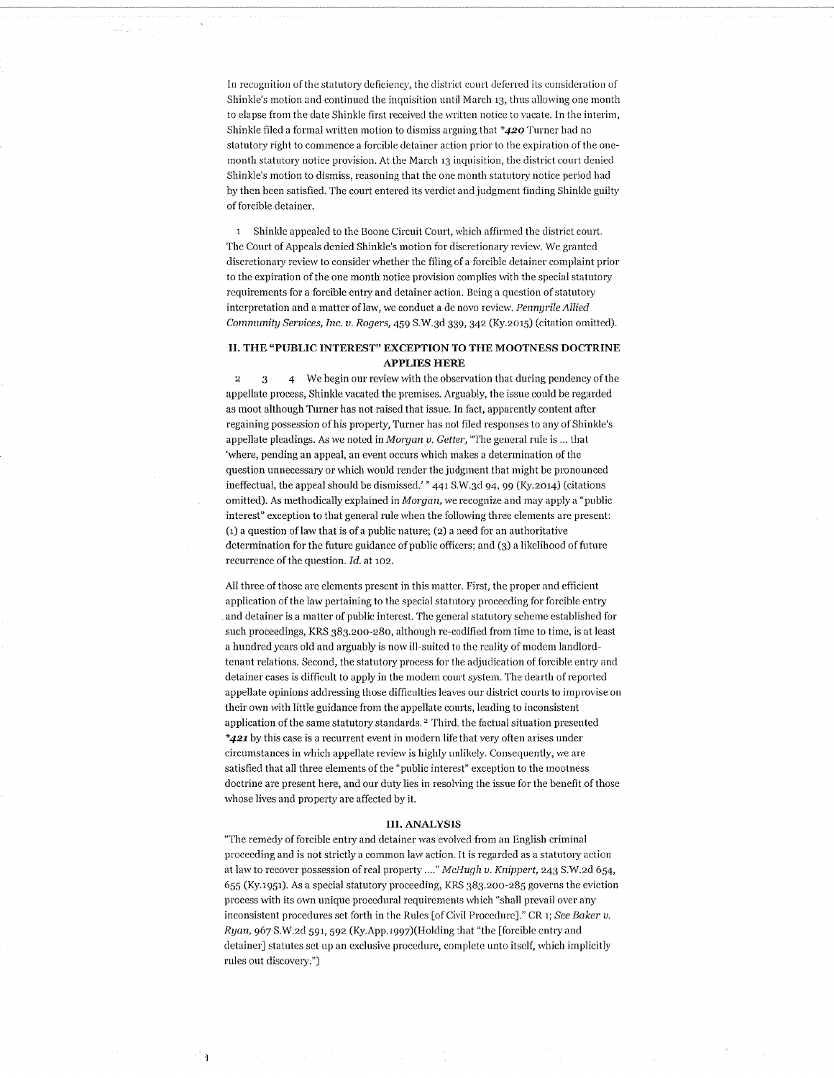In recognition of the statutory deficiency, the district court deferred its consideration of Shinkle's motion and continued the inquisition until March 13, thus allowing one month to elapse from the date Shinkle first received the written notice to vacate. In the interim, Shinkle filed a formal written motion to dismiss arguing that  $*420$  Turner had no statutory right to commence a forcible detainer action prior to the expiration of the onemonth statutory notice provision. At the March 13 inquisition, the district court denied Shinkle's motion to dismiss, reasoning that the one month statutory notice period had by then been satisfied. The court entered its verdict and judgment finding Shinkle guilty of forcible detainer.

1 Shinkle appealed to the Boone Circuit Court, which affirmed the district court. The Court of Appeals denied Shinkle's motion for discretionary review. We granted discretionary review to consider whether the filing of a forcible detainer complaint prior to the expiration of the one month notice provision complies with the special statutory requirements for a forcible entry and detainer action. Being a question of statutory interpretation and a matter of law, we conduct a de novo review. Pennyrile Allied Community Services, Inc. v. Rogers, 459 S.W.3d 339, 342 (Ky.2015) (citation omitted).

## II. THE "PUBLIC INTEREST" EXCEPTION TO THE MOOTNESS DOCTRINE **APPLIES HERE**

4 We begin our review with the observation that during pendency of the  $\overline{2}$  $\overline{3}$ appellate process, Shinkle vacated the premises. Arguably, the issue could be regarded as moot although Turner has not raised that issue. In fact, apparently content after regaining possession of his property, Turner has not filed responses to any of Shinkle's appellate pleadings. As we noted in Morgan v. Getter, "The general rule is ... that 'where, pending an appeal, an event occurs which makes a determination of the question unnecessary or which would render the judgment that might be pronounced ineffectual, the appeal should be dismissed.' " 441 S.W.3d 94, 99 (Ky.2014) (citations omitted). As methodically explained in Morgan, we recognize and may apply a "public interest" exception to that general rule when the following three elements are present: (1) a question of law that is of a public nature; (2) a need for an authoritative determination for the future guidance of public officers; and (3) a likelihood of future recurrence of the question. Id. at 102.

All three of those are elements present in this matter. First, the proper and efficient application of the law pertaining to the special statutory proceeding for forcible entry and detainer is a matter of public interest. The general statutory scheme established for such proceedings, KRS 383.200-280, although re-codified from time to time, is at least a hundred years old and arguably is now ill-suited to the reality of modem landlordtenant relations. Second, the statutory process for the adjudication of forcible entry and detainer cases is difficult to apply in the modem court system. The dearth of reported appellate opinions addressing those difficulties leaves our district courts to improvise on their own with little guidance from the appellate courts, leading to inconsistent application of the same statutory standards.<sup>2</sup> Third, the factual situation presented \*421 by this case is a recurrent event in modern life that very often arises under circumstances in which appellate review is highly unlikely. Consequently, we are satisfied that all three elements of the "public interest" exception to the mootness doctrine are present here, and our duty lies in resolving the issue for the benefit of those whose lives and property are affected by it.

#### **III. ANALYSIS**

"The remedy of forcible entry and detainer was evolved from an English criminal proceeding and is not strictly a common law action. It is regarded as a statutory action at law to recover possession of real property ...." McHugh v. Knippert, 243 S.W.2d 654, 655 (Ky.1951). As a special statutory proceeding, KRS 383.200-285 governs the eviction process with its own unique procedural requirements which "shall prevail over any inconsistent procedures set forth in the Rules [of Civil Procedure]." CR 1; See Baker v. Ryan, 967 S.W.2d 591, 592 (Ky.App.1997)(Holding that "the [forcible entry and detainer] statutes set up an exclusive procedure, complete unto itself, which implicitly rules out discovery.")

े ।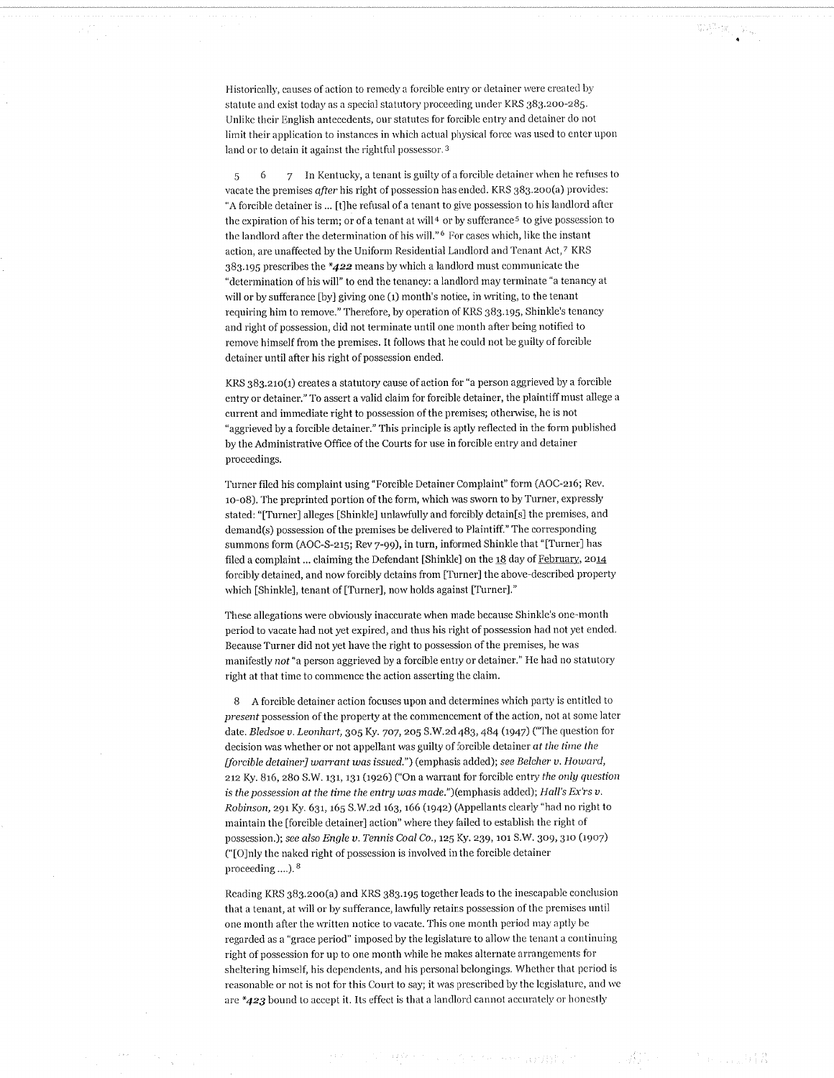Historically, causes of action to remedy a forcible entry or detainer were created by statute and exist today as a special statutory proceeding under KRS 383.200-285. Unlike their English antecedents, our statutes for forcible entry and detainer do not limit their application to instances in which actual physical force was used to enter upon land or to detain it against the rightful possessor.<sup>3</sup>

7 In Kentucky, a tenant is guilty of a forcible detainer when he refuses to 5 -6 vacate the premises after his right of possession has ended. KRS 383.200(a) provides: "A forcible detainer is ... [t] the refusal of a tenant to give possession to his landlord after the expiration of his term; or of a tenant at will<sup>4</sup> or by sufferance<sup>5</sup> to give possession to the landlord after the determination of his will."<sup>6</sup> For cases which, like the instant action, are unaffected by the Uniform Residential Landlord and Tenant Act, 7 KRS  $383.195$  prescribes the  $*422$  means by which a landlord must communicate the "determination of his will" to end the tenancy: a landlord may terminate "a tenancy at will or by sufferance [by] giving one (1) month's notice, in writing, to the tenant requiring him to remove." Therefore, by operation of KRS 383.195, Shinkle's tenancy and right of possession, did not terminate until one month after being notified to remove himself from the premises. It follows that he could not be guilty of forcible detainer until after his right of possession ended.

KRS 383.210(1) creates a statutory cause of action for "a person aggrieved by a forcible entry or detainer." To assert a valid claim for forcible detainer, the plaintiff must allege a current and immediate right to possession of the premises; otherwise, he is not "aggrieved by a forcible detainer." This principle is aptly reflected in the form published by the Administrative Office of the Courts for use in forcible entry and detainer proceedings.

Turner filed his complaint using "Forcible Detainer Complaint" form (AOC-216; Rev. 10-08). The preprinted portion of the form, which was sworn to by Turner, expressly stated: "[Turner] alleges [Shinkle] unlawfully and forcibly detain[s] the premises, and demand(s) possession of the premises be delivered to Plaintiff." The corresponding summons form (AOC-S-215; Rev 7-99), in turn, informed Shinkle that "[Turner] has filed a complaint ... claiming the Defendant [Shinkle] on the 18 day of February, 2014 forcibly detained, and now forcibly detains from [Turner] the above-described property which [Shinkle], tenant of [Turner], now holds against [Turner]."

These allegations were obviously inaccurate when made because Shinkle's one-month period to vacate had not yet expired, and thus his right of possession had not yet ended. Because Turner did not yet have the right to possession of the premises, he was manifestly not "a person aggrieved by a forcible entry or detainer." He had no statutory right at that time to commence the action asserting the claim.

8 A forcible detainer action focuses upon and determines which party is entitled to present possession of the property at the commencement of the action, not at some later date. Bledsoe v. Leonhart, 305 Ky. 707, 205 S.W.2d 483, 484 (1947) ("The question for decision was whether or not appellant was guilty of forcible detainer at the time the [forcible detainer] warrant was issued.") (emphasis added); see Belcher v. Howard, 212 Ky. 816, 280 S.W. 131, 131 (1926) ("On a warrant for forcible entry the only question is the possession at the time the entry was made.")(emphasis added); Hall's Ex'rs v. Robinson, 291 Ky. 631, 165 S.W.2d 163, 166 (1942) (Appellants clearly "had no right to maintain the [forcible detainer] action" where they failed to establish the right of possession.); see also Engle v. Tennis Coal Co., 125 Ky. 239, 101 S.W. 309, 310 (1907) ("[O]nly the naked right of possession is involved in the forcible detainer proceeding ....).  $8$ 

Reading KRS 383.200(a) and KRS 383.195 together leads to the inescapable conclusion that a tenant, at will or by sufferance, lawfully retains possession of the premises until one month after the written notice to vacate. This one month period may aptly be regarded as a "grace period" imposed by the legislature to allow the tenant a continuing right of possession for up to one month while he makes alternate arrangements for sheltering himself, his dependents, and his personal belongings. Whether that period is reasonable or not is not for this Court to say; it was prescribed by the legislature, and we are  $*423$  bound to accept it. Its effect is that a landlord cannot accurately or honestly

身体不全, 不大不一一的对抗。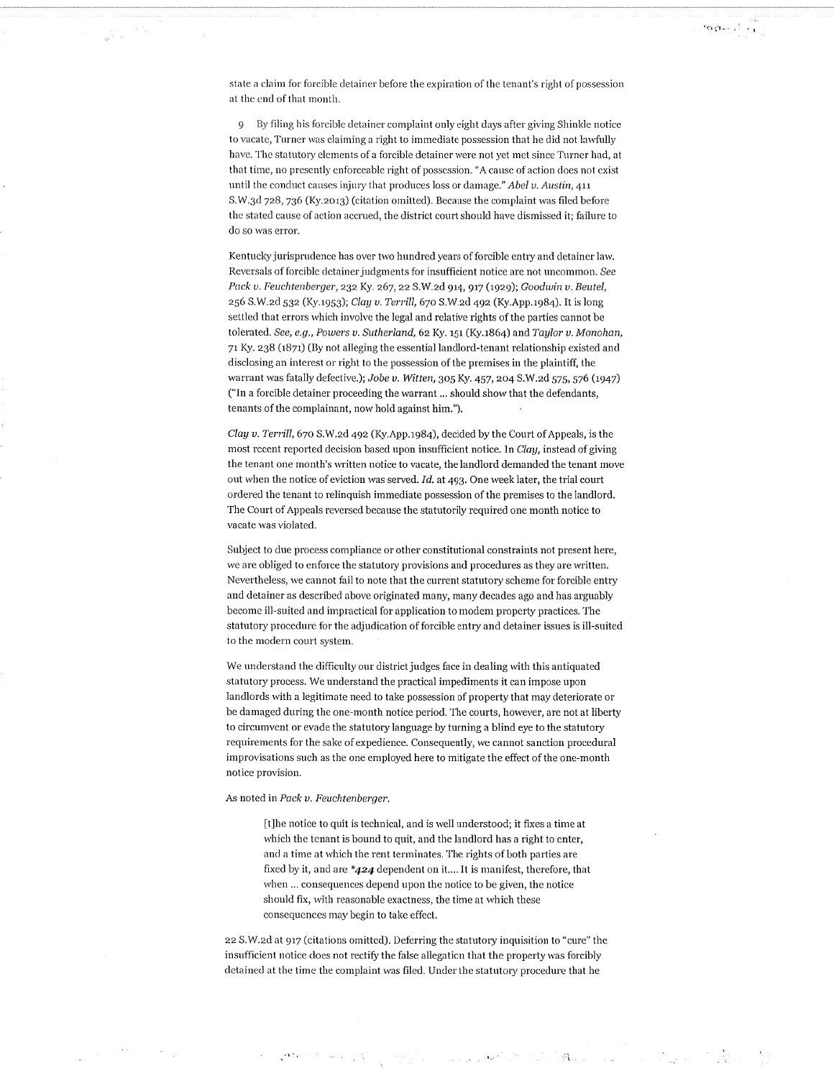state a claim for forcible detainer before the expiration of the tenant's right of possession at the end of that month.

 $\gamma$ o gas al  $\rightarrow$ 

9 By filing his forcible detainer complaint only eight days after giving Shinkle notice to vacate, Turner was claiming a right to immediate possession that he did not lawfully have. The statutory elements of a forcible detainer were not yet met since Turner had, at that time, no presently enforceable right of possession. "A cause of action does not exist until the conduct causes injury that produces loss or damage." Abel v. Austin, 411 S.W.3d 728, 736 (Ky.2013) (citation omitted). Because the complaint was filed before the stated cause of action accrued, the district court should have dismissed it; failure to do so was error.

Kentucky jurisprudence has over two hundred years of forcible entry and detainer law. Reversals of forcible detainer judgments for insufficient notice are not uncommon. See Pack v. Feuchtenberger, 232 Ky. 267, 22 S.W.2d 914, 917 (1929); Goodwin v. Beutel, 256 S.W.2d 532 (Ky.1953); Clay v. Terrill, 670 S.W.2d 492 (Ky.App.1984). It is long settled that errors which involve the legal and relative rights of the parties cannot be tolerated. See, e.g., Powers v. Sutherland, 62 Ky. 151 (Ky.1864) and Taylor v. Monohan, 71 Ky. 238 (1871) (By not alleging the essential landlord-tenant relationship existed and disclosing an interest or right to the possession of the premises in the plaintiff, the warrant was fatally defective.); Jobe v. Witten, 305 Ky. 457, 204 S.W.2d 575, 576 (1947) ("In a forcible detainer proceeding the warrant ... should show that the defendants, tenants of the complainant, now hold against him.").

Clay v. Terrill, 670 S.W.2d 492 (Ky.App.1984), decided by the Court of Appeals, is the most recent reported decision based upon insufficient notice. In Clay, instead of giving the tenant one month's written notice to vacate, the landlord demanded the tenant move out when the notice of eviction was served. Id. at 493. One week later, the trial court ordered the tenant to relinquish immediate possession of the premises to the landlord. The Court of Appeals reversed because the statutorily required one month notice to vacate was violated.

Subject to due process compliance or other constitutional constraints not present here. we are obliged to enforce the statutory provisions and procedures as they are written. Nevertheless, we cannot fail to note that the current statutory scheme for forcible entry and detainer as described above originated many, many decades ago and has arguably become ill-suited and impractical for application to modem property practices. The statutory procedure for the adjudication of forcible entry and detainer issues is ill-suited to the modern court system.

We understand the difficulty our district judges face in dealing with this antiquated statutory process. We understand the practical impediments it can impose upon landlords with a legitimate need to take possession of property that may deteriorate or be damaged during the one-month notice period. The courts, however, are not at liberty to circumvent or evade the statutory language by turning a blind eye to the statutory requirements for the sake of expedience. Consequently, we cannot sanction procedural improvisations such as the one employed here to mitigate the effect of the one-month notice provision.

#### As noted in Pack v. Feuchtenberger.

计分子 网络爱

[t]he notice to quit is technical, and is well understood; it fixes a time at which the tenant is bound to quit, and the landlord has a right to enter, and a time at which the rent terminates. The rights of both parties are fixed by it, and are  $*424$  dependent on it.... It is manifest, therefore, that when ... consequences depend upon the notice to be given, the notice should fix, with reasonable exactness, the time at which these consequences may begin to take effect.

22 S.W.2d at 917 (citations omitted). Deferring the statutory inquisition to "cure" the insufficient notice does not rectify the false allegation that the property was forcibly detained at the time the complaint was filed. Under the statutory procedure that he

 $\left(\mathcal{O}(\frac{1}{2})\right)^{2} \leq \mathcal{O}(\frac{1}{2}) \leq \mathcal{O}(\frac{1}{2}) \leq \mathcal{O}(\frac{1}{2}) \leq \mathcal{O}(\frac{1}{2}) \leq \mathcal{O}(\frac{1}{2}) \leq \mathcal{O}(\frac{1}{2})$ 

 $\mathfrak{R}_{\mathcal{M},\mathcal{F}}=\mathbb{E}[\mathcal{E}^{\mathcal{G}}_{\mathcal{M}}]=\mathbb{E}[\mathcal{E}^{\mathcal{G}}_{\mathcal{M}}]$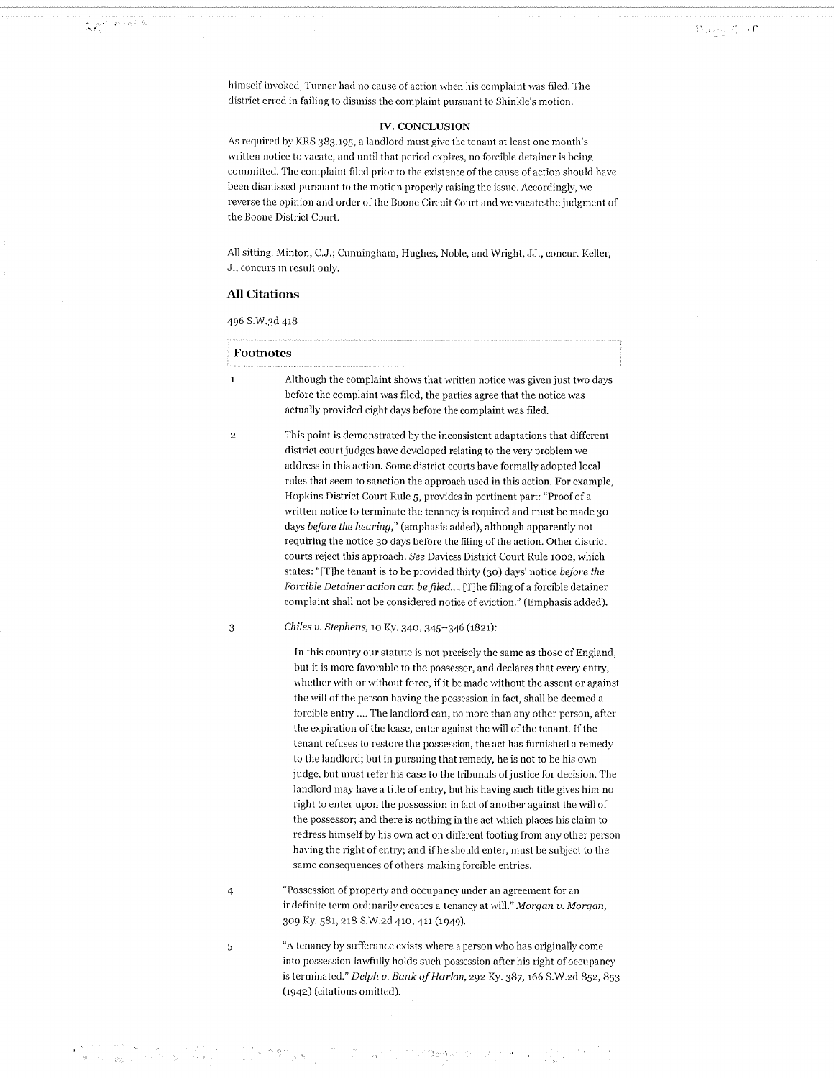himself invoked, Turner had no cause of action when his complaint was filed. The district erred in failing to dismiss the complaint pursuant to Shinkle's motion.

# **IV. CONCLUSION**

As required by KRS 383.195, a landlord must give the tenant at least one month's written notice to vacate, and until that period expires, no forcible detainer is being committed. The complaint filed prior to the existence of the cause of action should have been dismissed pursuant to the motion properly raising the issue. Accordingly, we reverse the opinion and order of the Boone Circuit Court and we vacate the judgment of the Boone District Court.

All sitting. Minton, C.J.; Cunningham, Hughes, Noble, and Wright, JJ., concur. Keller, J., concurs in result only.

## **All Citations**

 $\mathbf{X}^{p^{(1)}_1, \cdots, p^{(k)}_n, \mathbb{N}}$ 

in Times<br>Talent

 $\frac{1}{\epsilon}$ 

 $\bar{\phi}$ 

| Footnotes      |                                                                                                                                                                                                                                                                                                                                                                                                                                                                                                                                                                                                                                                                                                                                                                                                                                                                                                                                                                                                                                                                                                                                                                       |  |
|----------------|-----------------------------------------------------------------------------------------------------------------------------------------------------------------------------------------------------------------------------------------------------------------------------------------------------------------------------------------------------------------------------------------------------------------------------------------------------------------------------------------------------------------------------------------------------------------------------------------------------------------------------------------------------------------------------------------------------------------------------------------------------------------------------------------------------------------------------------------------------------------------------------------------------------------------------------------------------------------------------------------------------------------------------------------------------------------------------------------------------------------------------------------------------------------------|--|
| $\mathbf 1$    | Although the complaint shows that written notice was given just two days<br>before the complaint was filed, the parties agree that the notice was<br>actually provided eight days before the complaint was filed.                                                                                                                                                                                                                                                                                                                                                                                                                                                                                                                                                                                                                                                                                                                                                                                                                                                                                                                                                     |  |
| $\overline{2}$ | This point is demonstrated by the inconsistent adaptations that different<br>district court judges have developed relating to the very problem we<br>address in this action. Some district courts have formally adopted local<br>rules that seem to sanction the approach used in this action. For example,<br>Hopkins District Court Rule 5, provides in pertinent part: "Proof of a<br>written notice to terminate the tenancy is required and must be made 30<br>days <i>before the hearing</i> ," (emphasis added), although apparently not<br>requiring the notice 30 days before the filing of the action. Other district<br>courts reject this approach. See Daviess District Court Rule 1002, which<br>states: "[T] he tenant is to be provided thirty (30) days' notice before the<br><i>Forcible Detainer action can be filed</i> [T]he filing of a forcible detainer<br>complaint shall not be considered notice of eviction." (Emphasis added).                                                                                                                                                                                                           |  |
| 3              | Chiles v. Stephens, 10 Ky. 340, 345-346 (1821):                                                                                                                                                                                                                                                                                                                                                                                                                                                                                                                                                                                                                                                                                                                                                                                                                                                                                                                                                                                                                                                                                                                       |  |
|                | In this country our statute is not precisely the same as those of England,<br>but it is more favorable to the possessor, and declares that every entry,<br>whether with or without force, if it be made without the assent or against<br>the will of the person having the possession in fact, shall be deemed a<br>forcible entry  The landlord can, no more than any other person, after<br>the expiration of the lease, enter against the will of the tenant. If the<br>tenant refuses to restore the possession, the act has furnished a remedy<br>to the landlord; but in pursuing that remedy, he is not to be his own<br>judge, but must refer his case to the tribunals of justice for decision. The<br>landlord may have a title of entry, but his having such title gives him no<br>right to enter upon the possession in fact of another against the will of<br>the possessor; and there is nothing in the act which places his claim to<br>redress himself by his own act on different footing from any other person<br>having the right of entry; and if he should enter, must be subject to the<br>same consequences of others making forcible entries. |  |
| 4              | "Possession of property and occupancy under an agreement for an<br>indefinite term ordinarily creates a tenancy at will." Morgan v. Morgan,<br>309 Ky. 581, 218 S.W.2d 410, 411 (1949).                                                                                                                                                                                                                                                                                                                                                                                                                                                                                                                                                                                                                                                                                                                                                                                                                                                                                                                                                                               |  |
| 5              | "A tenancy by sufferance exists where a person who has originally come<br>into possession lawfully holds such possession after his right of occupancy<br>is terminated." Delph v. Bank of Harlan, 292 Ky. 387, 166 S.W.2d 852, 853<br>(1942) (citations omitted).                                                                                                                                                                                                                                                                                                                                                                                                                                                                                                                                                                                                                                                                                                                                                                                                                                                                                                     |  |

 $\mathfrak{M}$  and the second contribution of  $\mathbb{R}^n$  . The second contribution of  $\mathbb{R}^n$